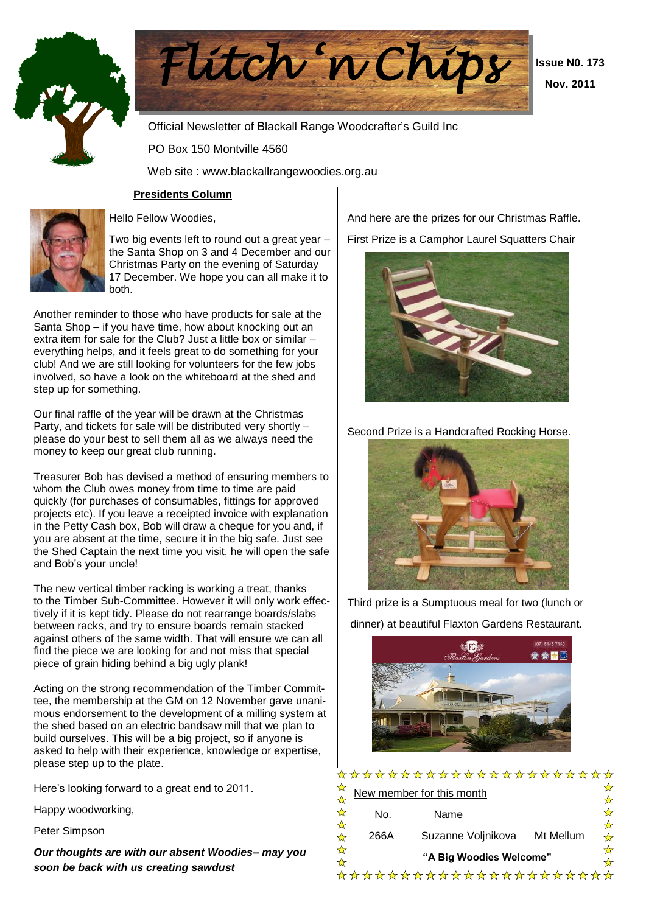



 **Issue N0. 173 Nov. 2011**

Official Newsletter of Blackall Range Woodcrafter's Guild Inc

PO Box 150 Montville 4560

Web site : www.blackallrangewoodies.org.au



### **Presidents Column**

Hello Fellow Woodies, Two big events left to round out a great year – the Santa Shop on 3 and 4 December and our

Christmas Party on the evening of Saturday 17 December. We hope you can all make it to both.

Another reminder to those who have products for sale at the Santa Shop – if you have time, how about knocking out an extra item for sale for the Club? Just a little box or similar – everything helps, and it feels great to do something for your club! And we are still looking for volunteers for the few jobs involved, so have a look on the whiteboard at the shed and step up for something.

Our final raffle of the year will be drawn at the Christmas Party, and tickets for sale will be distributed very shortly – please do your best to sell them all as we always need the money to keep our great club running.

Treasurer Bob has devised a method of ensuring members to whom the Club owes money from time to time are paid quickly (for purchases of consumables, fittings for approved projects etc). If you leave a receipted invoice with explanation in the Petty Cash box, Bob will draw a cheque for you and, if you are absent at the time, secure it in the big safe. Just see the Shed Captain the next time you visit, he will open the safe and Bob's your uncle!

The new vertical timber racking is working a treat, thanks to the Timber Sub-Committee. However it will only work effectively if it is kept tidy. Please do not rearrange boards/slabs between racks, and try to ensure boards remain stacked against others of the same width. That will ensure we can all find the piece we are looking for and not miss that special piece of grain hiding behind a big ugly plank!

Acting on the strong recommendation of the Timber Committee, the membership at the GM on 12 November gave unanimous endorsement to the development of a milling system at the shed based on an electric bandsaw mill that we plan to build ourselves. This will be a big project, so if anyone is asked to help with their experience, knowledge or expertise, please step up to the plate.

Here's looking forward to a great end to 2011.

Happy woodworking,

Peter Simpson

*Our thoughts are with our absent Woodies– may you soon be back with us creating sawdust*

 And here are the prizes for our Christmas Raffle. First Prize is a Camphor Laurel Squatters Chair



# Second Prize is a Handcrafted Rocking Horse.



 Third prize is a Sumptuous meal for two (lunch or dinner) at beautiful Flaxton Gardens Restaurant.



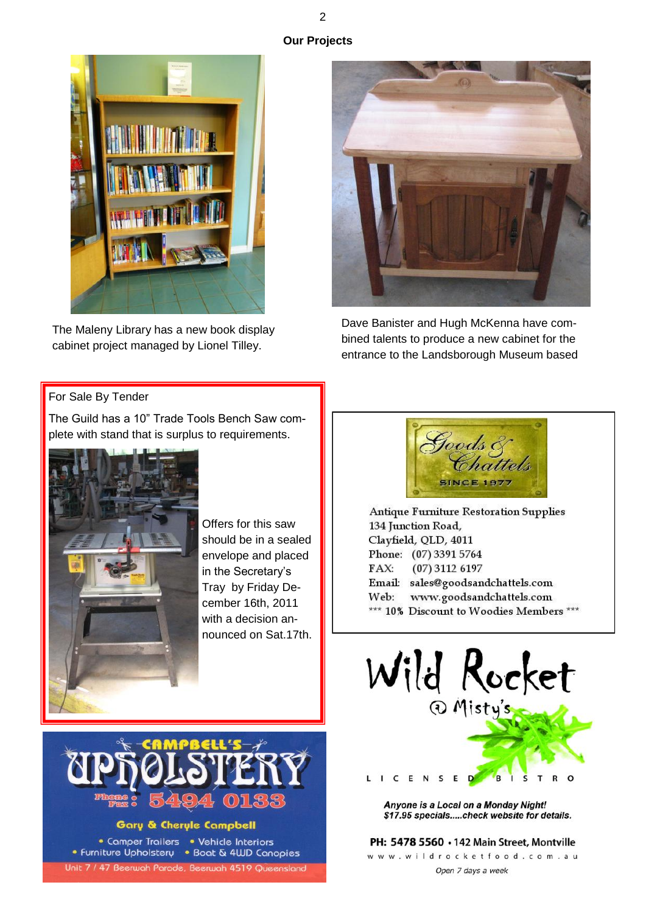





The Maleny Library has a new book display cabinet project managed by Lionel Tilley.



Dave Banister and Hugh McKenna have combined talents to produce a new cabinet for the entrance to the Landsborough Museum based

#### For Sale By Tender

The Guild has a 10" Trade Tools Bench Saw complete with stand that is surplus to requirements.



Offers for this saw should be in a sealed envelope and placed in the Secretary's Tray by Friday December 16th, 2011 with a decision announced on Sat.17th.



Antique Furniture Restoration Supplies 134 Junction Road, Clayfield, QLD, 4011 Phone: (07) 3391 5764  $FAX:$  $(07)$  3112 6197 Email: sales@goodsandchattels.com Web: www.goodsandchattels.com \*\*\* 10% Discount to Woodies Members \*\*\*



**Gary & Cheryle Campbell** 

• Comper Trailers • Vehicle Interiors • Furniture Upholstery • Boat & 4WD Canopies Unit 7 / 47 Beerwah Parade, Beerwah 4519 Queensland Wild Rocket

Anyone is a Local on a Monday Night! \$17.95 specials.....check website for details.

#### PH: 5478 5560 . 142 Main Street, Montville

www.wildrocketfood.com.au Open 7 days a week

2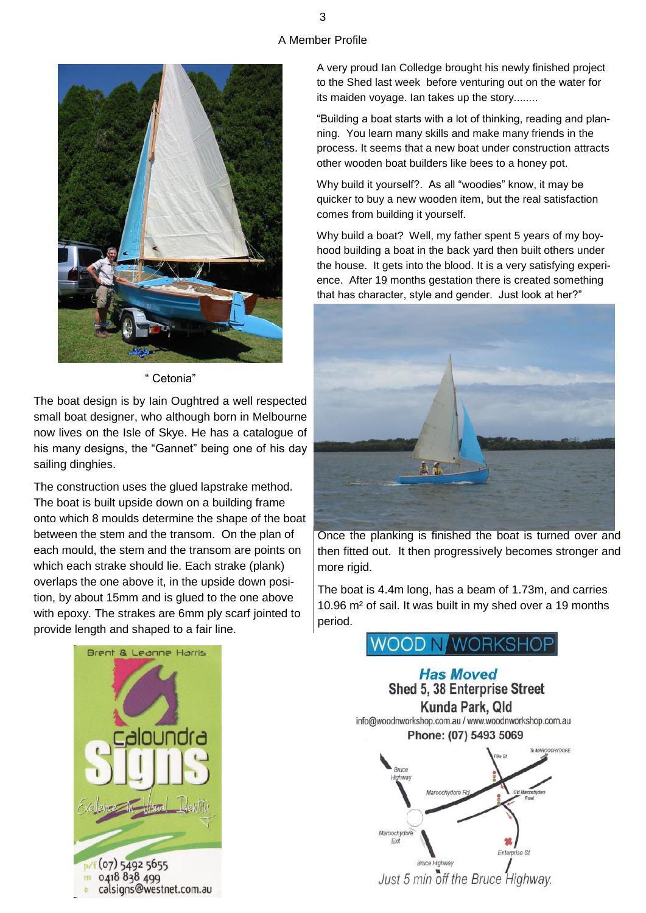## A Member Profile



" Cetonia"

The boat design is by Iain Oughtred a well respected small boat designer, who although born in Melbourne now lives on the Isle of Skye. He has a catalogue of his many designs, the "Gannet" being one of his day sailing dinghies.

The construction uses the glued lapstrake method. The boat is built upside down on a building frame onto which 8 moulds determine the shape of the boat between the stem and the transom. On the plan of each mould, the stem and the transom are points on which each strake should lie. Each strake (plank) overlaps the one above it, in the upside down position, by about 15mm and is glued to the one above with epoxy. The strakes are 6mm ply scarf jointed to provide length and shaped to a fair line.

A very proud Ian Colledge brought his newly finished project to the Shed last week before venturing out on the water for its maiden voyage. Ian takes up the story........

―Building a boat starts with a lot of thinking, reading and planning. You learn many skills and make many friends in the process. It seems that a new boat under construction attracts other wooden boat builders like bees to a honey pot.

Why build it yourself?. As all "woodies" know, it may be quicker to buy a new wooden item, but the real satisfaction comes from building it yourself.

Why build a boat? Well, my father spent 5 years of my boyhood building a boat in the back yard then built others under the house. It gets into the blood. It is a very satisfying experience. After 19 months gestation there is created something that has character, style and gender. Just look at her?"



Once the planking is finished the boat is turned over and then fitted out. It then progressively becomes stronger and more rigid.

The boat is 4.4m long, has a beam of 1.73m, and carries 10.96 m² of sail. It was built in my shed over a 19 months period.





**Has Moved** Shed 5, 38 Enterprise Street Kunda Park, Old info@woodnworkshop.com.au / www.woodnworkshop.com.au Phone: (07) 5493 5069 COCHVDORE Bruce Maroochydor Maroochydore Enterprise St Just 5 min off the Bruce Highway.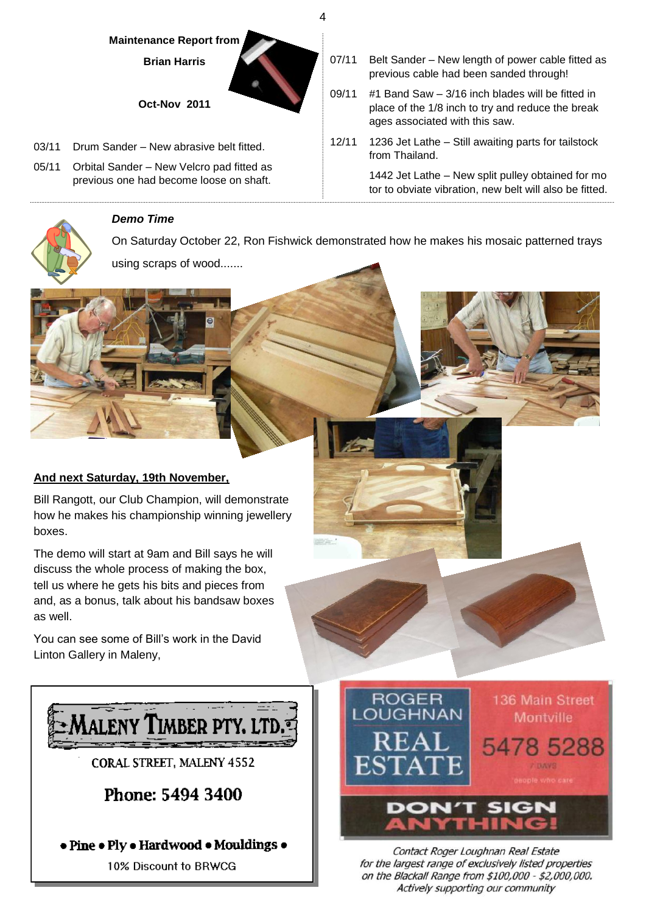#### 4

**Maintenance Report from**

**Brian Harris**

**Oct-Nov 2011**

- 03/11 Drum Sander New abrasive belt fitted.
- 05/11 Orbital Sander New Velcro pad fitted as previous one had become loose on shaft.



## *Demo Time*

On Saturday October 22, Ron Fishwick demonstrated how he makes his mosaic patterned trays

using scraps of wood.......



## **And next Saturday, 19th November,**

Bill Rangott, our Club Champion, will demonstrate how he makes his championship winning jewellery boxes.

The demo will start at 9am and Bill says he will discuss the whole process of making the box, tell us where he gets his bits and pieces from and, as a bonus, talk about his bandsaw boxes as well.

You can see some of Bill's work in the David Linton Gallery in Maleny,



Phone: 5494 3400

• Pine • Ply • Hardwood • Mouldings •

10% Discount to BRWCG

07/11 Belt Sander – New length of power cable fitted as previous cable had been sanded through! 09/11 #1 Band Saw – 3/16 inch blades will be fitted in

12/11 1236 Jet Lathe – Still awaiting parts for tailstock

ages associated with this saw.

from Thailand.

place of the 1/8 inch to try and reduce the break

1442 Jet Lathe – New split pulley obtained for mo tor to obviate vibration, new belt will also be fitted.



Contact Roger Loughnan Real Estate for the largest range of exclusively listed properties on the Blackall Range from \$100,000 - \$2,000,000. Actively supporting our community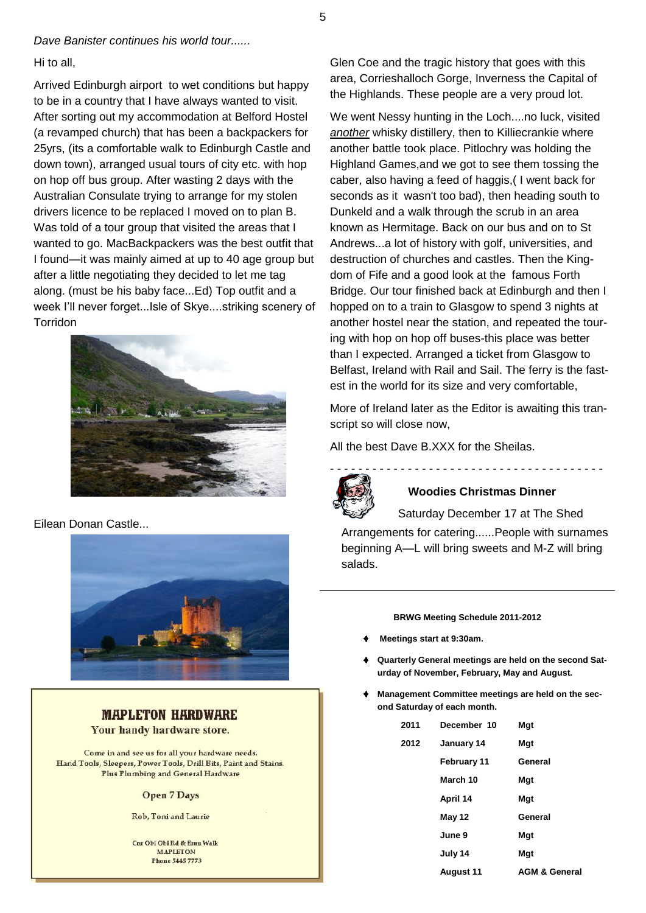*Dave Banister continues his world tour......*

#### Hi to all,

Arrived Edinburgh airport to wet conditions but happy to be in a country that I have always wanted to visit. After sorting out my accommodation at Belford Hostel (a revamped church) that has been a backpackers for 25yrs, (its a comfortable walk to Edinburgh Castle and down town), arranged usual tours of city etc. with hop on hop off bus group. After wasting 2 days with the Australian Consulate trying to arrange for my stolen drivers licence to be replaced I moved on to plan B. Was told of a tour group that visited the areas that I wanted to go. MacBackpackers was the best outfit that I found—it was mainly aimed at up to 40 age group but after a little negotiating they decided to let me tag along. (must be his baby face...Ed) Top outfit and a week I'll never forget...Isle of Skye....striking scenery of Torridon



Eilean Donan Castle...



## **MAPLETON HARDWARE**

Your handy hardware store.

Come in and see us for all your hardware needs. Hand Tools, Sleepers, Power Tools, Drill Bits, Paint and Stains. Plus Plumbing and General Hardware

#### **Open 7 Days**

Rob, Toni and Laurie

Cnr Obi Obi Rd & Emu Walk **MAPLETON Phone 5445 7773** 

Glen Coe and the tragic history that goes with this area, Corrieshalloch Gorge, Inverness the Capital of the Highlands. These people are a very proud lot.

We went Nessy hunting in the Loch....no luck, visited *another* whisky distillery, then to Killiecrankie where another battle took place. Pitlochry was holding the Highland Games,and we got to see them tossing the caber, also having a feed of haggis,( I went back for seconds as it wasn't too bad), then heading south to Dunkeld and a walk through the scrub in an area known as Hermitage. Back on our bus and on to St Andrews...a lot of history with golf, universities, and destruction of churches and castles. Then the Kingdom of Fife and a good look at the famous Forth Bridge. Our tour finished back at Edinburgh and then I hopped on to a train to Glasgow to spend 3 nights at another hostel near the station, and repeated the touring with hop on hop off buses-this place was better than I expected. Arranged a ticket from Glasgow to Belfast, Ireland with Rail and Sail. The ferry is the fastest in the world for its size and very comfortable,

More of Ireland later as the Editor is awaiting this transcript so will close now,

All the best Dave B.XXX for the Sheilas.



## **Woodies Christmas Dinner**

Saturday December 17 at The Shed

- - - - - - - - - - - - - - - - - - - - - - - - - - - - - - - - - - - - - - -

Arrangements for catering......People with surnames beginning A—L will bring sweets and M-Z will bring salads.

#### **BRWG Meeting Schedule 2011-2012**

- **Meetings start at 9:30am.**
- **Quarterly General meetings are held on the second Saturday of November, February, May and August.**
- **Management Committee meetings are held on the second Saturday of each month.**

| 2011 | December 10   | Mat                      |
|------|---------------|--------------------------|
| 2012 | January 14    | Mqt                      |
|      | February 11   | General                  |
|      | March 10      | Mgt                      |
|      | April 14      | Mgt                      |
|      | <b>May 12</b> | General                  |
|      | June 9        | Mgt                      |
|      | July 14       | Mgt                      |
|      | August 11     | <b>AGM &amp; General</b> |